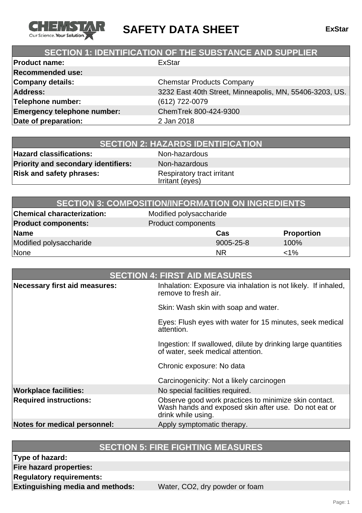

**SAFETY DATA SHEET ExStar**

## **SECTION 1: IDENTIFICATION OF THE SUBSTANCE AND SUPPLIER**

| <b>Product name:</b>               | <b>ExStar</b>                                           |
|------------------------------------|---------------------------------------------------------|
| <b>Recommended use:</b>            |                                                         |
| Company details:                   | <b>Chemstar Products Company</b>                        |
| <b>Address:</b>                    | 3232 East 40th Street, Minneapolis, MN, 55406-3203, US. |
| Telephone number:                  | (612) 722-0079                                          |
| <b>Emergency telephone number:</b> | ChemTrek 800-424-9300                                   |
| Date of preparation:               | 2 Jan 2018                                              |
|                                    |                                                         |

**Hazard classifications:** Non-hazardous **Priority and secondary identifiers:** Non-hazardous **Risk and safety phrases:** Respiratory tract irritant

Irritant (eyes)

|                                   | <b>SECTION 3: COMPOSITION/INFORMATION ON INGREDIENTS</b> |                   |
|-----------------------------------|----------------------------------------------------------|-------------------|
| <b>Chemical characterization:</b> | Modified polysaccharide                                  |                   |
| <b>Product components:</b>        | Product components                                       |                   |
| Name                              | Cas                                                      | <b>Proportion</b> |
| Modified polysaccharide           | 9005-25-8                                                | 100%              |
| None                              | <b>NR</b>                                                | $<$ 1%            |

| <b>SECTION 4: FIRST AID MEASURES</b> |                                                                                                                                     |
|--------------------------------------|-------------------------------------------------------------------------------------------------------------------------------------|
| Necessary first aid measures:        | Inhalation: Exposure via inhalation is not likely. If inhaled,<br>remove to fresh air.                                              |
|                                      | Skin: Wash skin with soap and water.                                                                                                |
|                                      | Eyes: Flush eyes with water for 15 minutes, seek medical<br>attention.                                                              |
|                                      | Ingestion: If swallowed, dilute by drinking large quantities<br>of water, seek medical attention.                                   |
|                                      | Chronic exposure: No data                                                                                                           |
|                                      | Carcinogenicity: Not a likely carcinogen                                                                                            |
| <b>Workplace facilities:</b>         | No special facilities required.                                                                                                     |
| <b>Required instructions:</b>        | Observe good work practices to minimize skin contact.<br>Wash hands and exposed skin after use. Do not eat or<br>drink while using. |
| Notes for medical personnel:         | Apply symptomatic therapy.                                                                                                          |

## **SECTION 5: FIRE FIGHTING MEASURES**

**Type of hazard:**

**Fire hazard properties:**

**Regulatory requirements:**

**Extinguishing media and methods:** Water, CO2, dry powder or foam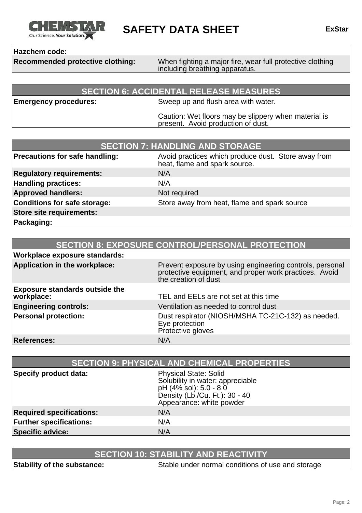

**SAFETY DATA SHEET ExStar**

**Hazchem code:**

**Recommended protective clothing:** When fighting a major fire, wear full protective clothing including breathing apparatus.

### **SECTION 6: ACCIDENTAL RELEASE MEASURES**

**Emergency procedures:** Sweep up and flush area with water.

Caution: Wet floors may be slippery when material is present. Avoid production of dust.

| <b>SECTION 7: HANDLING AND STORAGE</b> |                                                                                      |
|----------------------------------------|--------------------------------------------------------------------------------------|
| Precautions for safe handling:         | Avoid practices which produce dust. Store away from<br>heat, flame and spark source. |
| <b>Regulatory requirements:</b>        | N/A                                                                                  |
| <b>Handling practices:</b>             | N/A                                                                                  |
| <b>Approved handlers:</b>              | Not required                                                                         |
| Conditions for safe storage:           | Store away from heat, flame and spark source                                         |
| Store site requirements:               |                                                                                      |
| Packaging:                             |                                                                                      |

| <b>SECTION 8: EXPOSURE CONTROL/PERSONAL PROTECTION</b> |                                                                                                                                            |
|--------------------------------------------------------|--------------------------------------------------------------------------------------------------------------------------------------------|
| <b>Workplace exposure standards:</b>                   |                                                                                                                                            |
| Application in the workplace:                          | Prevent exposure by using engineering controls, personal<br>protective equipment, and proper work practices. Avoid<br>the creation of dust |
| <b>Exposure standards outside the</b><br>workplace:    | TEL and EELs are not set at this time                                                                                                      |
| <b>Engineering controls:</b>                           | Ventilation as needed to control dust                                                                                                      |
| <b>Personal protection:</b>                            | Dust respirator (NIOSH/MSHA TC-21C-132) as needed.<br>Eye protection<br>Protective gloves                                                  |
| <b>References:</b>                                     | N/A                                                                                                                                        |

| <b>SECTION 9: PHYSICAL AND CHEMICAL PROPERTIES</b> |                                                                                                                                                          |
|----------------------------------------------------|----------------------------------------------------------------------------------------------------------------------------------------------------------|
| Specify product data:                              | <b>Physical State: Solid</b><br>Solubility in water: appreciable<br>pH (4% sol): 5.0 - 8.0<br>Density (Lb./Cu. Ft.): 30 - 40<br>Appearance: white powder |
| <b>Required specifications:</b>                    | N/A                                                                                                                                                      |
| <b>Further specifications:</b>                     | N/A                                                                                                                                                      |
| <b>Specific advice:</b>                            | N/A                                                                                                                                                      |

## **SECTION 10: STABILITY AND REACTIVITY**

**Stability of the substance:** Stable under normal conditions of use and storage